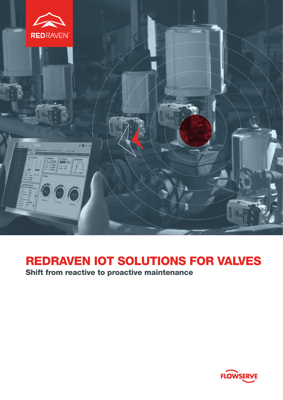

# REDRAVEN IOT SOLUTIONS FOR VALVES

Shift from reactive to proactive maintenance

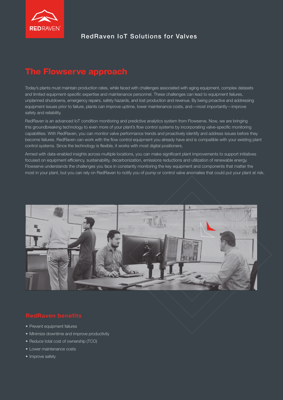

# RedRaven IoT Solutions for Valves

# The Flowserve approach

Today's plants must maintain production rates, while faced with challenges associated with aging equipment, complex datasets and limited equipment-specific expertise and maintenance personnel. These challenges can lead to equipment failures, unplanned shutdowns, emergency repairs, safety hazards, and lost production and revenue. By being proactive and addressing equipment issues prior to failure, plants can improve uptime, lower maintenance costs, and—most importantly—improve safety and reliability.

RedRaven is an advanced IoT condition monitoring and predictive analytics system from Flowserve. Now, we are bringing this groundbreaking technology to even more of your plant's flow control systems by incorporating valve-specific monitoring capabilities. With RedRaven, you can monitor valve performance trends and proactively identify and address issues before they become failures. RedRaven can work with the flow control equipment you already have and is compatible with your existing plant control systems. Since the technology is flexible, it works with most digital positioners.

Armed with data-enabled insights across multiple locations, you can make significant plant improvements to support initiatives focused on equipment efficiency, sustainability, decarbonization, emissions reductions and utilization of renewable energy. Flowserve understands the challenges you face in constantly monitoring the key equipment and components that matter the most in your plant, but you can rely on RedRaven to notify you of pump or control valve anomalies that could put your plant at risk.



- Prevent equipment failures
- Minimize downtime and improve productivity
- Reduce total cost of ownership (TCO)
- Lower maintenance costs
- Improve safety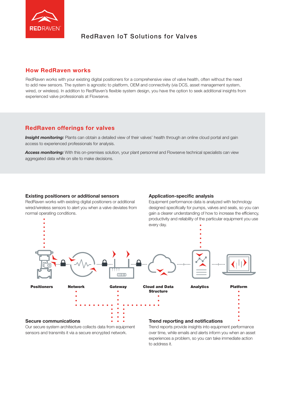

# RedRaven IoT Solutions for Valves

### How RedRaven works

RedRaven works with your existing digital positioners for a comprehensive view of valve health, often without the need to add new sensors. The system is agnostic to platform, OEM and connectivity (via DCS, asset management system, wired, or wireless). In addition to RedRaven's flexible system design, you have the option to seek additional insights from experienced valve professionals at Flowserve.

# RedRaven offerings for valves

**Insight monitoring:** Plants can obtain a detailed view of their valves' health through an online cloud portal and gain access to experienced professionals for analysis.

Access monitoring: With this on-premises solution, your plant personnel and Flowserve technical specialists can view aggregated data while on site to make decisions.

#### Existing positioners or additional sensors

RedRaven works with existing digital positioners or additional wired/wireless sensors to alert you when a valve deviates from normal operating conditions.

#### Application-specific analysis

Equipment performance data is analyzed with technology designed specifically for pumps, valves and seals, so you can gain a clearer understanding of how to increase the efficiency, productivity and reliability of the particular equipment you use every day.



sensors and transmits it via a secure encrypted network.

over time, while emails and alerts inform you when an asset

experiences a problem, so you can take immediate action to address it.